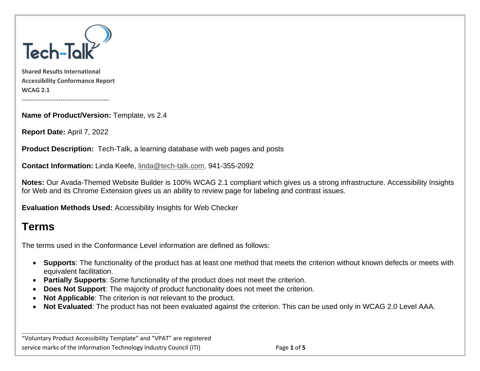

**Shared Results International Accessibility Conformance Report WCAG 2.1**

**Name of Product/Version:** Template, vs 2.4

**Report Date:** April 7, 2022

-------------------------------------------

**Product Description:** Tech-Talk, a learning database with web pages and posts

**Contact Information:** Linda Keefe, [linda@tech-talk.com,](mailto:linda@tech-talk.com) 941-355-2092

**Notes:** Our Avada-Themed Website Builder is 100% WCAG 2.1 compliant which gives us a strong infrastructure. Accessibility Insights for Web and its Chrome Extension gives us an ability to review page for labeling and contrast issues.

**Evaluation Methods Used:** Accessibility Insights for Web Checker

# **Terms**

The terms used in the Conformance Level information are defined as follows:

- **Supports**: The functionality of the product has at least one method that meets the criterion without known defects or meets with equivalent facilitation.
- **Partially Supports**: Some functionality of the product does not meet the criterion.
- **Does Not Support:** The majority of product functionality does not meet the criterion.
- **Not Applicable**: The criterion is not relevant to the product.
- **Not Evaluated**: The product has not been evaluated against the criterion. This can be used only in WCAG 2.0 Level AAA.

"Voluntary Product Accessibility Template" and "VPAT" are registered service marks of the Information Technology Industry Council (ITI) Page **1** of **5**

**\_\_\_\_\_\_\_\_\_\_\_\_\_\_\_\_\_\_\_\_\_\_\_\_\_\_\_\_\_\_\_\_\_\_**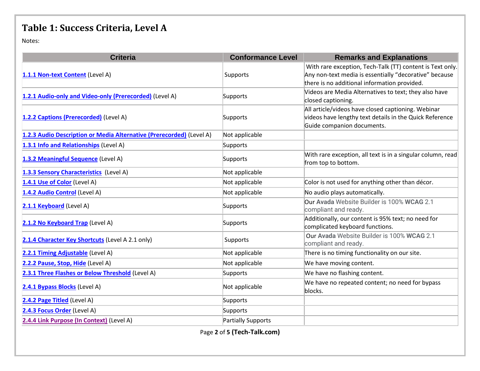# **Table 1: Success Criteria, Level A**

Notes:

| <b>Criteria</b>                                                      | <b>Conformance Level</b> | <b>Remarks and Explanations</b>                                                                                                                                     |  |
|----------------------------------------------------------------------|--------------------------|---------------------------------------------------------------------------------------------------------------------------------------------------------------------|--|
| 1.1.1 Non-text Content (Level A)                                     | Supports                 | With rare exception, Tech-Talk (TT) content is Text only.<br>Any non-text media is essentially "decorative" because<br>there is no additional information provided. |  |
| 1.2.1 Audio-only and Video-only (Prerecorded) (Level A)              | Supports                 | Videos are Media Alternatives to text; they also have<br>closed captioning.                                                                                         |  |
| 1.2.2 Captions (Prerecorded) (Level A)                               | Supports                 | All article/videos have closed captioning. Webinar<br>videos have lengthy text details in the Quick Reference<br>Guide companion documents.                         |  |
| 1.2.3 Audio Description or Media Alternative (Prerecorded) (Level A) | Not applicable           |                                                                                                                                                                     |  |
| 1.3.1 Info and Relationships (Level A)                               | Supports                 |                                                                                                                                                                     |  |
| 1.3.2 Meaningful Sequence (Level A)                                  | Supports                 | With rare exception, all text is in a singular column, read<br>from top to bottom.                                                                                  |  |
| 1.3.3 Sensory Characteristics (Level A)                              | Not applicable           |                                                                                                                                                                     |  |
| 1.4.1 Use of Color (Level A)                                         | Not applicable           | Color is not used for anything other than décor.                                                                                                                    |  |
| 1.4.2 Audio Control (Level A)                                        | Not applicable           | No audio plays automatically.                                                                                                                                       |  |
| 2.1.1 Keyboard (Level A)                                             | Supports                 | Our Avada Website Builder is 100% WCAG 2.1<br>compliant and ready.                                                                                                  |  |
| 2.1.2 No Keyboard Trap (Level A)                                     | Supports                 | Additionally, our content is 95% text; no need for<br>complicated keyboard functions.                                                                               |  |
| 2.1.4 Character Key Shortcuts (Level A 2.1 only)                     | Supports                 | Our Avada Website Builder is 100% WCAG 2.1<br>compliant and ready.                                                                                                  |  |
| 2.2.1 Timing Adjustable (Level A)                                    | Not applicable           | There is no timing functionality on our site.                                                                                                                       |  |
| 2.2.2 Pause, Stop, Hide (Level A)                                    | Not applicable           | We have moving content.                                                                                                                                             |  |
| 2.3.1 Three Flashes or Below Threshold (Level A)                     | Supports                 | We have no flashing content.                                                                                                                                        |  |
| 2.4.1 Bypass Blocks (Level A)                                        | Not applicable           | We have no repeated content; no need for bypass<br>blocks.                                                                                                          |  |
| 2.4.2 Page Titled (Level A)                                          | <b>Supports</b>          |                                                                                                                                                                     |  |
| 2.4.3 Focus Order (Level A)                                          | Supports                 |                                                                                                                                                                     |  |
| 2.4.4 Link Purpose (In Context) (Level A)                            | Partially Supports       |                                                                                                                                                                     |  |
| Page 2 of 5 (Tech-Talk.com)                                          |                          |                                                                                                                                                                     |  |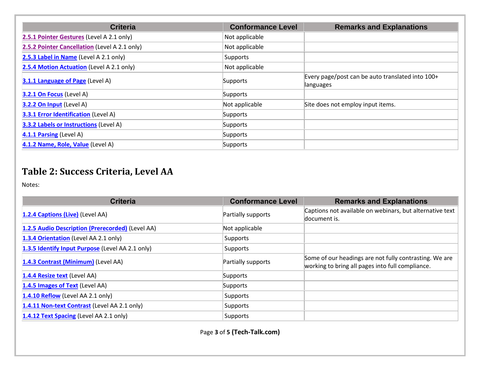| <b>Criteria</b>                               | <b>Conformance Level</b> | <b>Remarks and Explanations</b>                               |
|-----------------------------------------------|--------------------------|---------------------------------------------------------------|
| 2.5.1 Pointer Gestures (Level A 2.1 only)     | Not applicable           |                                                               |
| 2.5.2 Pointer Cancellation (Level A 2.1 only) | Not applicable           |                                                               |
| 2.5.3 Label in Name (Level A 2.1 only)        | Supports                 |                                                               |
| 2.5.4 Motion Actuation (Level A 2.1 only)     | Not applicable           |                                                               |
| <b>3.1.1 Language of Page (Level A)</b>       | Supports                 | Every page/post can be auto translated into 100+<br>languages |
| $3.2.1$ On Focus (Level A)                    | Supports                 |                                                               |
| 3.2.2 On Input (Level A)                      | Not applicable           | Site does not employ input items.                             |
| <b>3.3.1 Error Identification (Level A)</b>   | Supports                 |                                                               |
| <b>3.3.2 Labels or Instructions (Level A)</b> | Supports                 |                                                               |
| 4.1.1 Parsing (Level A)                       | Supports                 |                                                               |
| 4.1.2 Name, Role, Value (Level A)             | Supports                 |                                                               |

### **Table 2: Success Criteria, Level AA**

Notes:

| <b>Criteria</b>                                  | <b>Conformance Level</b> | <b>Remarks and Explanations</b>                                                                            |
|--------------------------------------------------|--------------------------|------------------------------------------------------------------------------------------------------------|
| 1.2.4 Captions (Live) (Level AA)                 | Partially supports       | Captions not available on webinars, but alternative text<br>document is.                                   |
| 1.2.5 Audio Description (Prerecorded) (Level AA) | Not applicable           |                                                                                                            |
| 1.3.4 Orientation (Level AA 2.1 only)            | Supports                 |                                                                                                            |
| 1.3.5 Identify Input Purpose (Level AA 2.1 only) | Supports                 |                                                                                                            |
| 1.4.3 Contrast (Minimum) (Level AA)              | Partially supports       | Some of our headings are not fully contrasting. We are<br>working to bring all pages into full compliance. |
| 1.4.4 Resize text (Level AA)                     | Supports                 |                                                                                                            |
| 1.4.5 Images of Text (Level AA)                  | Supports                 |                                                                                                            |
| 1.4.10 Reflow (Level AA 2.1 only)                | <b>Supports</b>          |                                                                                                            |
| 1.4.11 Non-text Contrast (Level AA 2.1 only)     | <b>Supports</b>          |                                                                                                            |
| 1.4.12 Text Spacing (Level AA 2.1 only)          | Supports                 |                                                                                                            |

Page **3** of **5 (Tech-Talk.com)**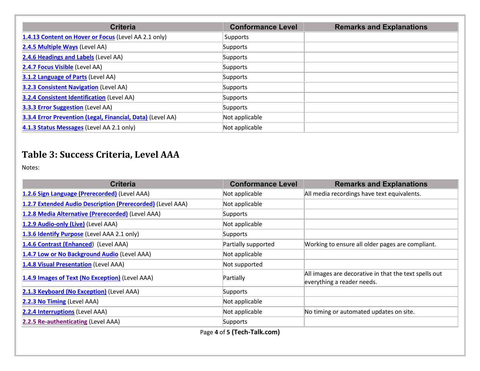| <b>Criteria</b>                                            | <b>Conformance Level</b> | <b>Remarks and Explanations</b> |
|------------------------------------------------------------|--------------------------|---------------------------------|
| 1.4.13 Content on Hover or Focus (Level AA 2.1 only)       | Supports                 |                                 |
| 2.4.5 Multiple Ways (Level AA)                             | Supports                 |                                 |
| 2.4.6 Headings and Labels (Level AA)                       | Supports                 |                                 |
| 2.4.7 Focus Visible (Level AA)                             | Supports                 |                                 |
| 3.1.2 Language of Parts (Level AA)                         | Supports                 |                                 |
| <b>3.2.3 Consistent Navigation (Level AA)</b>              | Supports                 |                                 |
| <b>3.2.4 Consistent Identification (Level AA)</b>          | Supports                 |                                 |
| <b>3.3.3 Error Suggestion (Level AA)</b>                   | Supports                 |                                 |
| 3.3.4 Error Prevention (Legal, Financial, Data) (Level AA) | Not applicable           |                                 |
| 4.1.3 Status Messages (Level AA 2.1 only)                  | Not applicable           |                                 |

### **Table 3: Success Criteria, Level AAA**

Notes:

| <b>Criteria</b>                                            | <b>Conformance Level</b> | <b>Remarks and Explanations</b>                                                     |
|------------------------------------------------------------|--------------------------|-------------------------------------------------------------------------------------|
| 1.2.6 Sign Language (Prerecorded) (Level AAA)              | Not applicable           | All media recordings have text equivalents.                                         |
| 1.2.7 Extended Audio Description (Prerecorded) (Level AAA) | Not applicable           |                                                                                     |
| 1.2.8 Media Alternative (Prerecorded) (Level AAA)          | <b>Supports</b>          |                                                                                     |
| 1.2.9 Audio-only (Live) (Level AAA)                        | Not applicable           |                                                                                     |
| 1.3.6 Identify Purpose (Level AAA 2.1 only)                | Supports                 |                                                                                     |
| 1.4.6 Contrast (Enhanced) (Level AAA)                      | Partially supported      | Working to ensure all older pages are compliant.                                    |
| 1.4.7 Low or No Background Audio (Level AAA)               | Not applicable           |                                                                                     |
| 1.4.8 Visual Presentation (Level AAA)                      | Not supported            |                                                                                     |
| 1.4.9 Images of Text (No Exception) (Level AAA)            | Partially                | All images are decorative in that the text spells out<br>everything a reader needs. |
| 2.1.3 Keyboard (No Exception) (Level AAA)                  | Supports                 |                                                                                     |
| 2.2.3 No Timing (Level AAA)                                | Not applicable           |                                                                                     |
| 2.2.4 Interruptions (Level AAA)                            | Not applicable           | No timing or automated updates on site.                                             |
| 2.2.5 Re-authenticating (Level AAA)                        | Supports                 |                                                                                     |